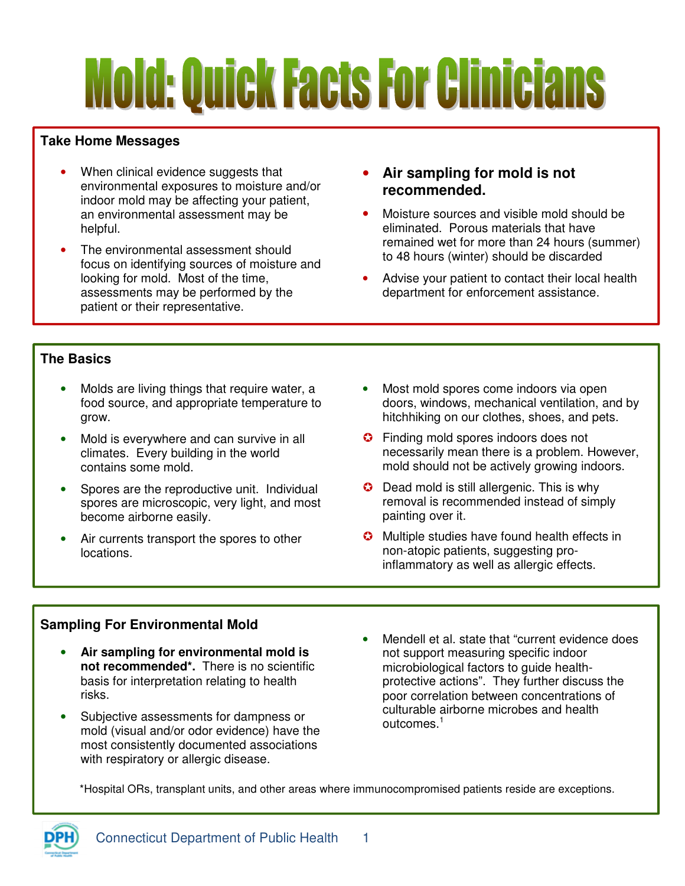# **Mold: Quick Facts For Clinicians**

# **Take Home Messages**

- When clinical evidence suggests that environmental exposures to moisture and/or indoor mold may be affecting your patient, an environmental assessment may be helpful.
- The environmental assessment should focus on identifying sources of moisture and looking for mold. Most of the time, assessments may be performed by the patient or their representative.
- **Air sampling for mold is not recommended.**
- Moisture sources and visible mold should be eliminated. Porous materials that have remained wet for more than 24 hours (summer) to 48 hours (winter) should be discarded
- Advise your patient to contact their local health department for enforcement assistance.

## **The Basics**

- Molds are living things that require water, a food source, and appropriate temperature to grow.
- Mold is everywhere and can survive in all climates. Every building in the world contains some mold.
- Spores are the reproductive unit. Individual spores are microscopic, very light, and most become airborne easily.
- Air currents transport the spores to other locations.
- Most mold spores come indoors via open doors, windows, mechanical ventilation, and by hitchhiking on our clothes, shoes, and pets.
- **C** Finding mold spores indoors does not necessarily mean there is a problem. However, mold should not be actively growing indoors.
- $\bullet$  Dead mold is still allergenic. This is why removal is recommended instead of simply painting over it.
- **C** Multiple studies have found health effects in non-atopic patients, suggesting proinflammatory as well as allergic effects.

### **Sampling For Environmental Mold**

- **Air sampling for environmental mold is not recommended\*.** There is no scientific basis for interpretation relating to health risks.
- Subjective assessments for dampness or mold (visual and/or odor evidence) have the most consistently documented associations with respiratory or allergic disease.
- Mendell et al. state that "current evidence does not support measuring specific indoor microbiological factors to guide healthprotective actions". They further discuss the poor correlation between concentrations of culturable airborne microbes and health outcomes.<sup>1</sup>

\*Hospital ORs, transplant units, and other areas where immunocompromised patients reside are exceptions.